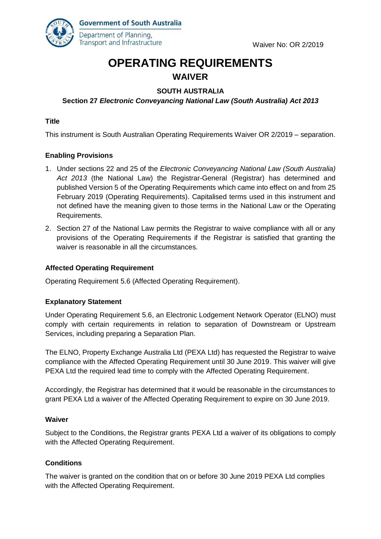

**Government of South Australia** Department of Planning, Transport and Infrastructure

# **OPERATING REQUIREMENTS WAIVER**

# **SOUTH AUSTRALIA**

# **Section 27** *Electronic Conveyancing National Law (South Australia) Act 2013*

#### **Title**

This instrument is South Australian Operating Requirements Waiver OR 2/2019 – separation.

#### **Enabling Provisions**

- 1. Under sections 22 and 25 of the *Electronic Conveyancing National Law (South Australia) Act 2013* (the National Law) the Registrar-General (Registrar) has determined and published Version 5 of the Operating Requirements which came into effect on and from 25 February 2019 (Operating Requirements). Capitalised terms used in this instrument and not defined have the meaning given to those terms in the National Law or the Operating Requirements.
- 2. Section 27 of the National Law permits the Registrar to waive compliance with all or any provisions of the Operating Requirements if the Registrar is satisfied that granting the waiver is reasonable in all the circumstances.

#### **Affected Operating Requirement**

Operating Requirement 5.6 (Affected Operating Requirement).

#### **Explanatory Statement**

Under Operating Requirement 5.6, an Electronic Lodgement Network Operator (ELNO) must comply with certain requirements in relation to separation of Downstream or Upstream Services, including preparing a Separation Plan.

The ELNO, Property Exchange Australia Ltd (PEXA Ltd) has requested the Registrar to waive compliance with the Affected Operating Requirement until 30 June 2019. This waiver will give PEXA Ltd the required lead time to comply with the Affected Operating Requirement.

Accordingly, the Registrar has determined that it would be reasonable in the circumstances to grant PEXA Ltd a waiver of the Affected Operating Requirement to expire on 30 June 2019.

#### **Waiver**

Subject to the Conditions, the Registrar grants PEXA Ltd a waiver of its obligations to comply with the Affected Operating Requirement.

### **Conditions**

The waiver is granted on the condition that on or before 30 June 2019 PEXA Ltd complies with the Affected Operating Requirement.